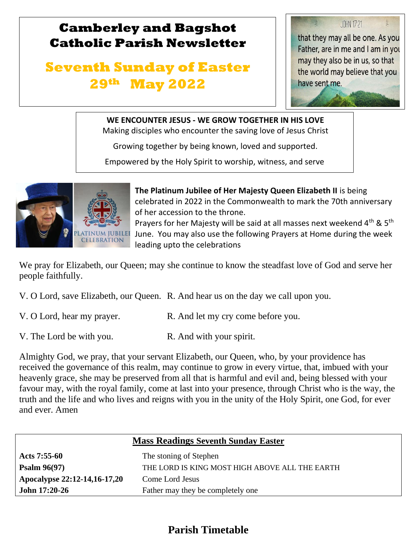## **Camberley and Bagshot Catholic Parish Newsletter**

# **Seventh Sunday of Easter 29th May 2022**

**JOHN 17:21** that they may all be one. As you Father, are in me and I am in you may they also be in us, so that the world may believe that you have sent me.

#### **WE ENCOUNTER JESUS - WE GROW TOGETHER IN HIS LOVE**

Making disciples who encounter the saving love of Jesus Christ

Growing together by being known, loved and supported.

Empowered by the Holy Spirit to worship, witness, and serve



l

 $\mathbb{R}$ 

**The Platinum Jubilee of Her Majesty Queen Elizabeth II** is being celebrated in 2022 in the Commonwealth to mark the 70th anniversary of her accession to the throne.

Prayers for her Majesty will be said at all masses next weekend  $4^{\text{th}}$  & 5<sup>th</sup> June. You may also use the following Prayers at Home during the week leading upto the celebrations

We pray for Elizabeth, our Queen; may she continue to know the steadfast love of God and serve her people faithfully.

- V. O Lord, save Elizabeth, our Queen. R. And hear us on the day we call upon you.
- V. O Lord, hear my prayer. R. And let my cry come before you.
- V. The Lord be with you. R. And with your spirit.

Almighty God, we pray, that your servant Elizabeth, our Queen, who, by your providence has received the governance of this realm, may continue to grow in every virtue, that, imbued with your heavenly grace, she may be preserved from all that is harmful and evil and, being blessed with your favour may, with the royal family, come at last into your presence, through Christ who is the way, the truth and the life and who lives and reigns with you in the unity of the Holy Spirit, one God, for ever and ever. Amen

| <b>Mass Readings Seventh Sunday Easter</b> |                                                |  |  |
|--------------------------------------------|------------------------------------------------|--|--|
| Acts $7:55-60$                             | The stoning of Stephen                         |  |  |
| Psalm $96(97)$                             | THE LORD IS KING MOST HIGH ABOVE ALL THE EARTH |  |  |
| Apocalypse 22:12-14,16-17,20               | Come Lord Jesus                                |  |  |
| John 17:20-26                              | Father may they be completely one              |  |  |

### **Parish Timetable**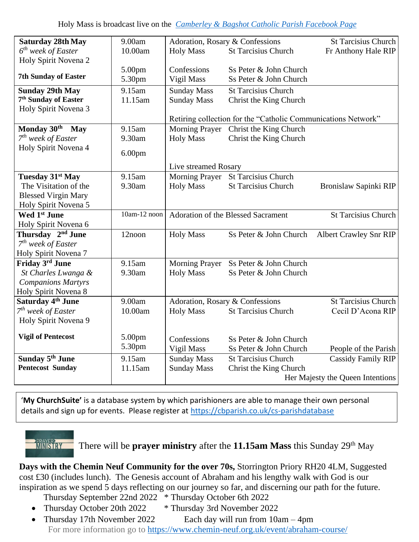| <b>Saturday 28th May</b>         | 9.00am                     | Adoration, Rosary & Confessions                               |                                    | <b>St Tarcisius Church</b>       |
|----------------------------------|----------------------------|---------------------------------------------------------------|------------------------------------|----------------------------------|
| $6th$ week of Easter             | 10.00am                    | <b>Holy Mass</b>                                              | <b>St Tarcisius Church</b>         | Fr Anthony Hale RIP              |
| Holy Spirit Novena 2             |                            |                                                               |                                    |                                  |
|                                  | 5.00pm                     | Confessions                                                   | Ss Peter & John Church             |                                  |
| <b>7th Sunday of Easter</b>      | 5.30pm                     | Vigil Mass                                                    | Ss Peter & John Church             |                                  |
| <b>Sunday 29th May</b>           | 9.15am                     | <b>Sunday Mass</b>                                            | <b>St Tarcisius Church</b>         |                                  |
| 7 <sup>th</sup> Sunday of Easter | 11.15am                    | <b>Sunday Mass</b>                                            | Christ the King Church             |                                  |
| Holy Spirit Novena 3             |                            |                                                               |                                    |                                  |
|                                  |                            | Retiring collection for the "Catholic Communications Network" |                                    |                                  |
| Monday 30 <sup>th</sup> May      | 9.15am                     | <b>Morning Prayer</b>                                         | Christ the King Church             |                                  |
| $7th$ week of Easter             | 9.30am                     | <b>Holy Mass</b>                                              | Christ the King Church             |                                  |
| Holy Spirit Novena 4             | 6.00 <sub>pm</sub>         |                                                               |                                    |                                  |
|                                  |                            | Live streamed Rosary                                          |                                    |                                  |
| Tuesday 31 <sup>st</sup> May     | 9.15am                     |                                                               | Morning Prayer St Tarcisius Church |                                  |
| The Visitation of the            | 9.30am                     | <b>Holy Mass</b>                                              | <b>St Tarcisius Church</b>         | Bronislaw Sapinki RIP            |
| <b>Blessed Virgin Mary</b>       |                            |                                                               |                                    |                                  |
| Holy Spirit Novena 5             |                            |                                                               |                                    |                                  |
| Wed 1 <sup>st</sup> June         | $\overline{10}$ am-12 noon |                                                               | Adoration of the Blessed Sacrament | <b>St Tarcisius Church</b>       |
| Holy Spirit Novena 6             |                            |                                                               |                                    |                                  |
| Thursday 2 <sup>nd</sup> June    | 12noon                     | <b>Holy Mass</b>                                              | Ss Peter & John Church             | <b>Albert Crawley Snr RIP</b>    |
| $7th$ week of Easter             |                            |                                                               |                                    |                                  |
| Holy Spirit Novena 7             |                            |                                                               |                                    |                                  |
| Friday 3rd June                  | 9.15am                     | Morning Prayer                                                | Ss Peter & John Church             |                                  |
| St Charles Lwanga &              | 9.30am                     | <b>Holy Mass</b>                                              | Ss Peter & John Church             |                                  |
| <b>Companions Martyrs</b>        |                            |                                                               |                                    |                                  |
| Holy Spirit Novena 8             |                            |                                                               |                                    |                                  |
| Saturday 4 <sup>th</sup> June    | 9.00am                     | Adoration, Rosary & Confessions                               |                                    | <b>St Tarcisius Church</b>       |
| $7th$ week of Easter             | 10.00am                    | <b>Holy Mass</b>                                              | <b>St Tarcisius Church</b>         | Cecil D'Acona RIP                |
| Holy Spirit Novena 9             |                            |                                                               |                                    |                                  |
| <b>Vigil of Pentecost</b>        | 5.00pm                     | Confessions                                                   | Ss Peter & John Church             |                                  |
|                                  | 5.30pm                     | Vigil Mass                                                    | Ss Peter & John Church             | People of the Parish             |
| Sunday 5 <sup>th</sup> June      | 9.15am                     | <b>Sunday Mass</b>                                            | <b>St Tarcisius Church</b>         | <b>Cassidy Family RIP</b>        |
| <b>Pentecost Sunday</b>          | 11.15am                    | <b>Sunday Mass</b>                                            | Christ the King Church             |                                  |
|                                  |                            |                                                               |                                    | Her Majesty the Queen Intentions |

'**My ChurchSuite'** is a database system by which parishioners are able to manage their own personal details and sign up for events. Please register at<https://cbparish.co.uk/cs-parishdatabase>



There will be **prayer ministry** after the **11.15am Mass** this Sunday 29th May

**Days with the Chemin Neuf Community for the over 70s,** Storrington Priory RH20 4LM, Suggested cost £30 (includes lunch). The Genesis account of Abraham and his lengthy walk with God is our inspiration as we spend 5 days reflecting on our journey so far, and discerning our path for the future.

- Thursday September 22nd 2022 \* Thursday October 6th 2022
- Thursday October 20th 2022 \* Thursday 3rd November 2022
- Thursday 17th November 2022 Each day will run from 10am 4pm For more information go to<https://www.chemin-neuf.org.uk/event/abraham-course/>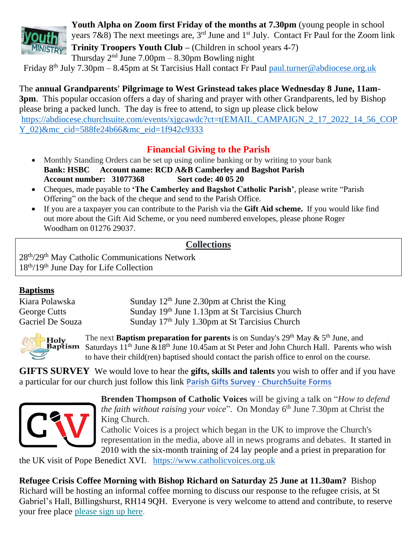

**Youth Alpha on Zoom first Friday of the months at 7.30pm** (young people in school years 7&8) The next meetings are, 3<sup>rd</sup> June and 1<sup>st</sup> July. Contact Fr Paul for the Zoom link **MINISTRY** Trinity Troopers Youth Club – (Children in school years 4-7) Thursday  $2<sup>nd</sup>$  June 7.00pm – 8.30pm Bowling night

Friday 8th July 7.30pm – 8.45pm at St Tarcisius Hall contact Fr Paul [paul.turner@abdiocese.org.uk](mailto:paul.turner@abdiocese.org.uk) 

The **annual Grandparents' Pilgrimage to West Grinstead takes place Wednesday 8 June, 11am-3pm**. This popular occasion offers a day of sharing and prayer with other Grandparents, led by Bishop please bring a packed lunch. The day is free to attend, to sign up please click below [https://abdiocese.churchsuite.com/events/xjgcawdc?ct=t\(EMAIL\\_CAMPAIGN\\_2\\_17\\_2022\\_14\\_56\\_COP](https://abdiocese.churchsuite.com/events/xjgcawdc?ct=t(EMAIL_CAMPAIGN_2_17_2022_14_56_COPY_02)&mc_cid=588fe24b66&mc_eid=1f942c9333) [Y\\_02\)&mc\\_cid=588fe24b66&mc\\_eid=1f942c9333](https://abdiocese.churchsuite.com/events/xjgcawdc?ct=t(EMAIL_CAMPAIGN_2_17_2022_14_56_COPY_02)&mc_cid=588fe24b66&mc_eid=1f942c9333)

#### **Financial Giving to the Parish**

- Monthly Standing Orders can be set up using online banking or by writing to your bank **Bank: HSBC Account name: RCD A&B Camberley and Bagshot Parish Account number: 31077368 Sort code: 40 05 20**
- Cheques, made payable to **'The Camberley and Bagshot Catholic Parish'**, please write "Parish Offering" on the back of the cheque and send to the Parish Office.
- If you are a taxpayer you can contribute to the Parish via the **Gift Aid scheme.** If you would like find out more about the Gift Aid Scheme, or you need numbered envelopes, please phone Roger Woodham on 01276 29037.

#### **Collections**

28th/29th May Catholic Communications Network 18th/19th June Day for Life Collection

#### **Baptisms**

| Kiara Polawska   | Sunday $12th$ June 2.30pm at Christ the King               |
|------------------|------------------------------------------------------------|
| George Cutts     | Sunday 19th June 1.13pm at St Tarcisius Church             |
| Gacriel De Souza | Sunday 17 <sup>th</sup> July 1.30pm at St Tarcisius Church |



The next **Baptism preparation for parents** is on Sunday's 29<sup>th</sup> May & 5<sup>th</sup> June, and **Example 10.45** Saturdays  $11^{th}$  June  $\& 18^{th}$  June 10.45am at St Peter and John Church Hall. Parents who wish to have their child(ren) baptised should contact the parish office to enrol on the course.

**GIFTS SURVEY** We would love to hear the **gifts, skills and talents** you wish to offer and if you have a particular for our church just follow this link **[Parish Gifts Survey · ChurchSuite Forms](https://camberleybagshotcatholicparish.churchsuite.com/forms/dhozqq3w)**



**Brenden Thompson of Catholic Voices** will be giving a talk on "*How to defend the faith without raising your voice*". On Monday 6<sup>th</sup> June 7.30pm at Christ the King Church.

Catholic Voices is a project which began in the UK to improve the Church's representation in the media, above all in news programs and debates. It started in 2010 with the six-month training of 24 lay people and a priest in preparation for

the UK visit of Pope Benedict XVI. [https://www.catholicvoices.org.uk](https://www.catholicvoices.org.uk/)

**Refugee Crisis Coffee Morning with Bishop Richard on Saturday 25 June at 11.30am?** Bishop Richard will be hosting an informal coffee morning to discuss our response to the refugee crisis, at St Gabriel's Hall, Billingshurst, RH14 9QH. Everyone is very welcome to attend and contribute, to reserve your free place [please](https://eur02.safelinks.protection.outlook.com/?url=https%3A%2F%2Fabdiocese.us9.list-manage.com%2Ftrack%2Fclick%3Fu%3D6ad3715cf61665df736c264a6%26id%3D1fc5c700d0%26e%3D1f942c9333&data=05%7C01%7Cpaul.turner%40abdiocese.org.uk%7C1373acbc2f61448a184e08da3434e977%7C2bf5dbc217ef4efca1c9ab2dc4edefd0%7C0%7C0%7C637879699103419213%7CUnknown%7CTWFpbGZsb3d8eyJWIjoiMC4wLjAwMDAiLCJQIjoiV2luMzIiLCJBTiI6Ik1haWwiLCJXVCI6Mn0%3D%7C3000%7C%7C%7C&sdata=f396MJNMJkyikoY3LHLNQ7DKZgZk9HHi3ESlHy2S0PI%3D&reserved=0) sign up here.